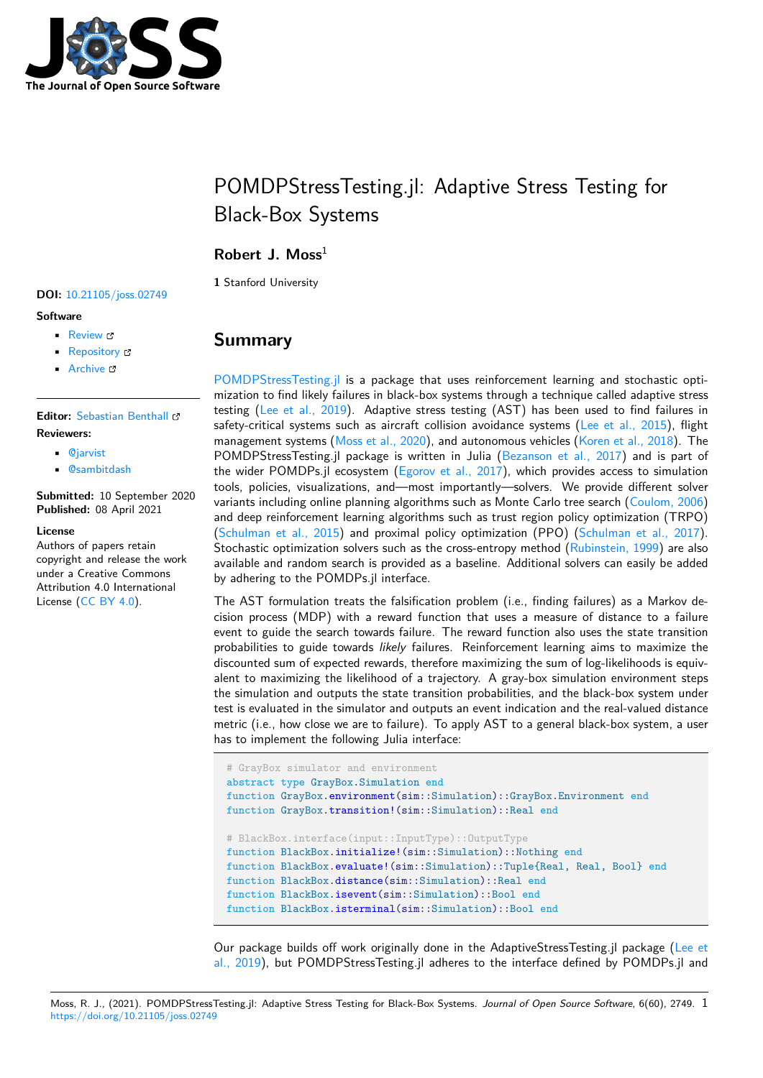

# POMDPStressTesting.jl: Adaptive Stress Testing for Black-Box Systems

### **Robert J. Moss**<sup>1</sup>

**1** Stanford University

#### **DOI:** 10.21105/joss.02749

#### **Software**

- Review &
- [Repository](https://doi.org/10.21105/joss.02749)  $\circ$
- Archive

#### **Editor:** [Sebastian](https://github.com/sisl/POMDPStressTesting.jl) Benthall **Revie[wers:](https://doi.org/10.5281/zenodo.4663471)**

- @jarvist
- @[sambitdash](https://sbenthall.net )

**Submitted:** 10 September 2020 **Publi[shed:](https://github.com/jarvist)** 08 April 2021

#### **License**

Autho[rs of papers r](https://github.com/sambitdash)etain copyright and release the work under a Creative Commons Attribution 4.0 International License (CC BY 4.0).

## **Summary**

POMDPStressTesting.jl is a package that uses reinforcement learning and stochastic optimization to find likely failures in black-box systems through a technique called adaptive stress testing (Lee et al., 2019). Adaptive stress testing (AST) has been used to find failures in safety-critical systems such as aircraft collision avoidance systems (Lee et al.,  $2015$ ), flight [management systems \(M](https://github.com/sisl/POMDPStressTesting.jl)oss et al., 2020), and autonomous vehicles (Koren et al., 2018). The POMDPStressTesting.jl package is written in Julia (Bezanson et al., 2017) and is part of the wide[r POMDPs.jl eco](#page-2-0)system (Egorov et al.,  $2017$ ), which provides access to simulation tools, policies, visualizations, and—most importantly—solvers. We [provide differen](#page-2-1)t solver variants including onli[ne planning algorit](#page-2-2)hms such as Monte Carlo tre[e search \(Coulom,](#page-2-3) 2006) and deep reinforcement learning algorithms such as tr[ust region policy optim](#page-2-4)ization (TRPO) (Schulman et al., 2015) and prox[imal policy optimiza](#page-2-5)tion (PPO) (Schulman et al., 2017). Stochastic optimization solvers such as the cross-entropy method (Rubinstein, 1999) are also available and random search is provided as a baseline. Additional solvers can [easily be added](#page-2-6) by adhering to the POMDPs.jl interface.

[The AST formulation tr](#page-2-7)eats the falsification problem (i.e., finding f[ailures\) as a Markov de](#page-2-8)cision process (MDP) with a reward function that uses a measu[re of distance to](#page-2-9) a failure event to guide the search towards failure. The reward function also uses the state transition probabilities to guide towards *likely* failures. Reinforcement learning aims to maximize the discounted sum of expected rewards, therefore maximizing the sum of log-likelihoods is equivalent to maximizing the likelihood of a trajectory. A gray-box simulation environment steps the simulation and outputs the state transition probabilities, and the black-box system under test is evaluated in the simulator and outputs an event indication and the real-valued distance metric (i.e., how close we are to failure). To apply AST to a general black-box system, a user has to implement the following Julia interface:

```
# GrayBox simulator and environment
abstract type GrayBox.Simulation end
function GrayBox.environment(sim::Simulation)::GrayBox.Environment end
function GrayBox.transition!(sim::Simulation)::Real end
# BlackBox.interface(input::InputType)::OutputType
function BlackBox.initialize!(sim::Simulation)::Nothing end
function BlackBox.evaluate!(sim::Simulation)::Tuple{Real, Real, Bool} end
function BlackBox.distance(sim::Simulation)::Real end
function BlackBox.isevent(sim::Simulation)::Bool end
function BlackBox.isterminal(sim::Simulation)::Bool end
```
Our package builds off work originally done in the AdaptiveStressTesting.jl package (Lee et al., 2019), but POMDPStressTesting.jl adheres to the interface defined by POMDPs.jl and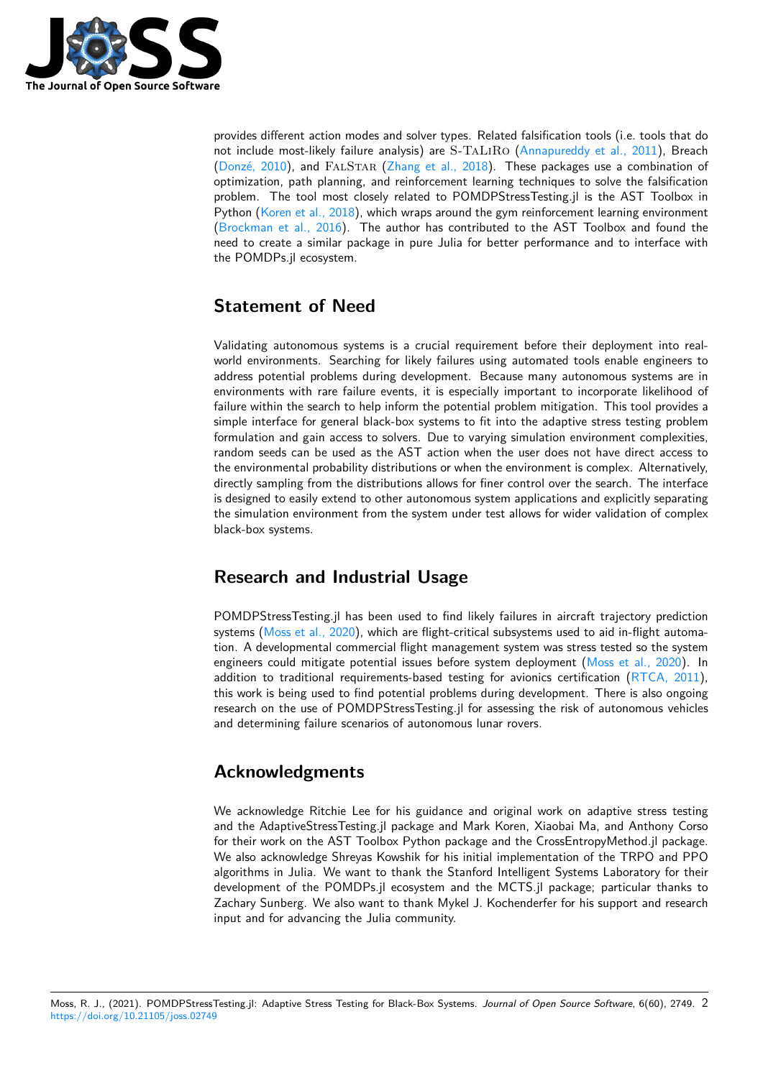

provides different action modes and solver types. Related falsification tools (i.e. tools that do not include most-likely failure analysis) are S-TaLiRo (Annapureddy et al., 2011), Breach (Donzé, 2010), and FALSTAR (Zhang et al., 2018). These packages use a combination of optimization, path planning, and reinforcement learning techniques to solve the falsification problem. The tool most closely related to POMDPStressTesting.jl is the AST Toolbox in Python (Koren et al., 2018), which wraps around the gym [reinforcement learning env](#page-2-10)ironment ([Brockman et](#page-2-11) al., 2016). The [author has contribu](#page-2-12)ted to the AST Toolbox and found the need to create a similar package in pure Julia for better performance and to interface with the POMDPs.jl ecosystem.

# **[Statement of N](#page-2-13)eed**

Validating autonomous systems is a crucial requirement before their deployment into realworld environments. Searching for likely failures using automated tools enable engineers to address potential problems during development. Because many autonomous systems are in environments with rare failure events, it is especially important to incorporate likelihood of failure within the search to help inform the potential problem mitigation. This tool provides a simple interface for general black-box systems to fit into the adaptive stress testing problem formulation and gain access to solvers. Due to varying simulation environment complexities, random seeds can be used as the AST action when the user does not have direct access to the environmental probability distributions or when the environment is complex. Alternatively, directly sampling from the distributions allows for finer control over the search. The interface is designed to easily extend to other autonomous system applications and explicitly separating the simulation environment from the system under test allows for wider validation of complex black-box systems.

# **Research and Industrial Usage**

POMDPStressTesting.jl has been used to find likely failures in aircraft trajectory prediction systems (Moss et al., 2020), which are flight-critical subsystems used to aid in-flight automation. A developmental commercial flight management system was stress tested so the system engineers could mitigate potential issues before system deployment (Moss et al., 2020). In addition to traditional requirements-based testing for avionics certification  $(RTCA, 2011)$ , this work [is being used to fi](#page-2-2)nd potential problems during development. There is also ongoing research on the use of POMDPStressTesting.jl for assessing the risk of autonomous vehicles and determining failure scenarios of autonomous lunar rovers.

### **Acknowledgments**

We acknowledge Ritchie Lee for his guidance and original work on adaptive stress testing and the AdaptiveStressTesting.jl package and Mark Koren, Xiaobai Ma, and Anthony Corso for their work on the AST Toolbox Python package and the CrossEntropyMethod.jl package. We also acknowledge Shreyas Kowshik for his initial implementation of the TRPO and PPO algorithms in Julia. We want to thank the Stanford Intelligent Systems Laboratory for their development of the POMDPs.jl ecosystem and the MCTS.jl package; particular thanks to Zachary Sunberg. We also want to thank Mykel J. Kochenderfer for his support and research input and for advancing the Julia community.